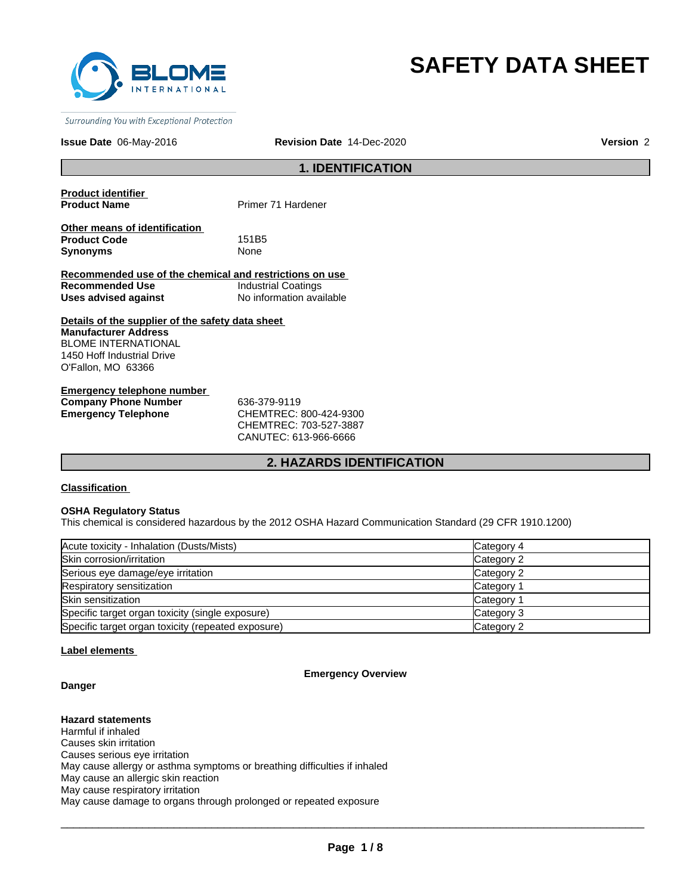

# **SAFETY DATA SHEET**

Surrounding You with Exceptional Protection

#### **Issue Date** 06-May-2016 **Revision Date** 14-Dec-2020

**Version** 2

# **1. IDENTIFICATION**

**Product identifier** 

**Primer 71 Hardener** 

**Other means of identification Product Code** 151B5 **Synonyms** None

**Recommended use of the chemical and restrictions on use Recommended Use** Industrial Coatings **Uses advised against** No information available

**Details of the supplier of the safety data sheet Manufacturer Address** BLOME INTERNATIONAL 1450 Hoff Industrial Drive O'Fallon, MO 63366

**Emergency telephone number Company Phone Number** 636-379-9119 **Emergency Telephone** CHEMTREC: 800-424-9300

CHEMTREC: 703-527-3887 CANUTEC: 613-966-6666

# **2. HAZARDS IDENTIFICATION**

## **Classification**

#### **OSHA Regulatory Status**

This chemical is considered hazardous by the 2012 OSHA Hazard Communication Standard (29 CFR 1910.1200)

| Acute toxicity - Inhalation (Dusts/Mists)          | Category 4 |
|----------------------------------------------------|------------|
| Skin corrosion/irritation                          | Category 2 |
| Serious eye damage/eye irritation                  | Category 2 |
| Respiratory sensitization                          | Category 1 |
| Skin sensitization                                 | Category 1 |
| Specific target organ toxicity (single exposure)   | Category 3 |
| Specific target organ toxicity (repeated exposure) | Category 2 |

# **Label elements**

#### **Emergency Overview**

# **Danger**

**Hazard statements** Harmful if inhaled Causes skin irritation Causes serious eye irritation May cause allergy or asthma symptoms or breathing difficulties if inhaled May cause an allergic skin reaction May cause respiratory irritation May cause damage to organs through prolonged or repeated exposure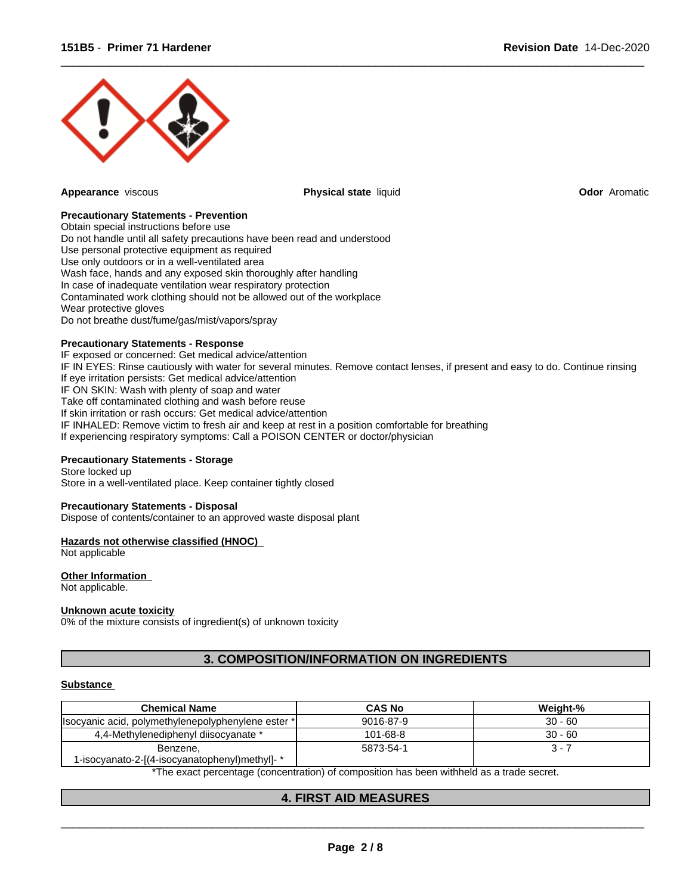

**Appearance** viscous **Physical state** liquid **Odor** Aromatic

 $\overline{\phantom{a}}$  ,  $\overline{\phantom{a}}$  ,  $\overline{\phantom{a}}$  ,  $\overline{\phantom{a}}$  ,  $\overline{\phantom{a}}$  ,  $\overline{\phantom{a}}$  ,  $\overline{\phantom{a}}$  ,  $\overline{\phantom{a}}$  ,  $\overline{\phantom{a}}$  ,  $\overline{\phantom{a}}$  ,  $\overline{\phantom{a}}$  ,  $\overline{\phantom{a}}$  ,  $\overline{\phantom{a}}$  ,  $\overline{\phantom{a}}$  ,  $\overline{\phantom{a}}$  ,  $\overline{\phantom{a}}$ 

## **Precautionary Statements - Prevention**

Obtain special instructions before use Do not handle until all safety precautions have been read and understood Use personal protective equipment as required Use only outdoors or in a well-ventilated area Wash face, hands and any exposed skin thoroughly after handling In case of inadequate ventilation wear respiratory protection Contaminated work clothing should not be allowed out of the workplace Wear protective gloves Do not breathe dust/fume/gas/mist/vapors/spray

## **Precautionary Statements - Response**

IF exposed or concerned: Get medical advice/attention IF IN EYES: Rinse cautiously with water for several minutes. Remove contact lenses, if present and easy to do. Continue rinsing If eye irritation persists: Get medical advice/attention IF ON SKIN: Wash with plenty of soap and water Take off contaminated clothing and wash before reuse If skin irritation or rash occurs: Get medical advice/attention IF INHALED: Remove victim to fresh air and keep at rest in a position comfortable for breathing If experiencing respiratory symptoms: Call a POISON CENTER or doctor/physician

## **Precautionary Statements - Storage**

Store locked up Store in a well-ventilated place. Keep container tightly closed

## **Precautionary Statements - Disposal**

Dispose of contents/container to an approved waste disposal plant

## **Hazards not otherwise classified (HNOC)**

Not applicable

# **Other Information**

Not applicable.

#### **Unknown acute toxicity**

0% of the mixture consists of ingredient(s) of unknown toxicity

# **3. COMPOSITION/INFORMATION ON INGREDIENTS**

#### **Substance**

| <b>Chemical Name</b>                                      | <b>CAS No</b> | Weight-%  |
|-----------------------------------------------------------|---------------|-----------|
| Ilsocyanic acid, polymethylenepolyphenylene ester *       | 9016-87-9     | $30 - 60$ |
| 4,4-Methylenediphenyl diisocyanate *                      | 101-68-8      | $30 - 60$ |
| Benzene,<br>1-isocyanato-2-[(4-isocyanatophenyl)methyl]-* | 5873-54-1     | - ئ       |

\*The exact percentage (concentration) of composition has been withheld as a trade secret.

 $\overline{\phantom{a}}$  ,  $\overline{\phantom{a}}$  ,  $\overline{\phantom{a}}$  ,  $\overline{\phantom{a}}$  ,  $\overline{\phantom{a}}$  ,  $\overline{\phantom{a}}$  ,  $\overline{\phantom{a}}$  ,  $\overline{\phantom{a}}$  ,  $\overline{\phantom{a}}$  ,  $\overline{\phantom{a}}$  ,  $\overline{\phantom{a}}$  ,  $\overline{\phantom{a}}$  ,  $\overline{\phantom{a}}$  ,  $\overline{\phantom{a}}$  ,  $\overline{\phantom{a}}$  ,  $\overline{\phantom{a}}$ 

# **4. FIRST AID MEASURES**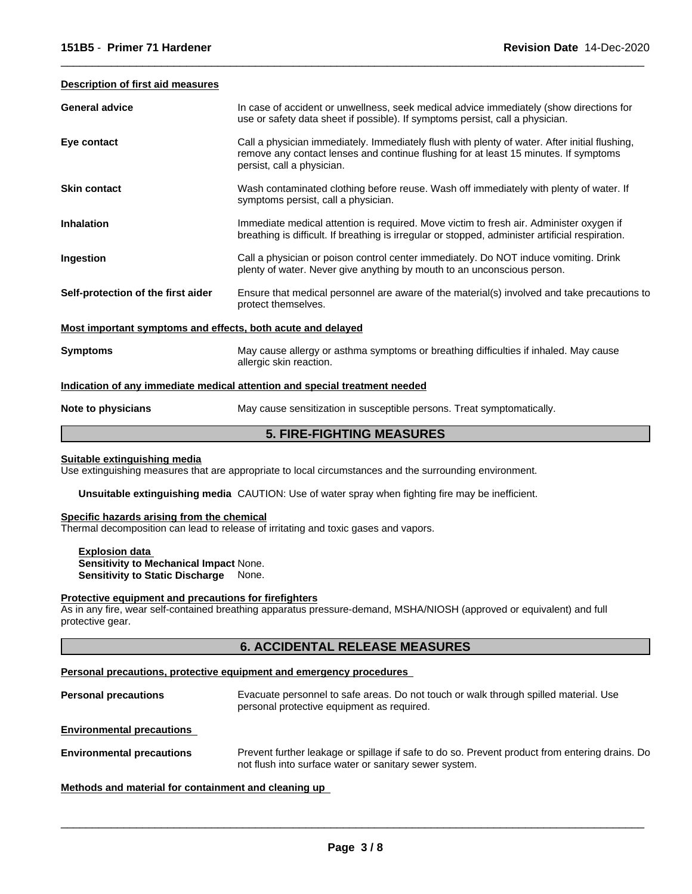#### **Description of first aid measures**

| <b>General advice</b>                                                      | In case of accident or unwellness, seek medical advice immediately (show directions for<br>use or safety data sheet if possible). If symptoms persist, call a physician.                                            |  |
|----------------------------------------------------------------------------|---------------------------------------------------------------------------------------------------------------------------------------------------------------------------------------------------------------------|--|
| Eye contact                                                                | Call a physician immediately. Immediately flush with plenty of water. After initial flushing,<br>remove any contact lenses and continue flushing for at least 15 minutes. If symptoms<br>persist, call a physician. |  |
| <b>Skin contact</b>                                                        | Wash contaminated clothing before reuse. Wash off immediately with plenty of water. If<br>symptoms persist, call a physician.                                                                                       |  |
| <b>Inhalation</b>                                                          | Immediate medical attention is required. Move victim to fresh air. Administer oxygen if<br>breathing is difficult. If breathing is irregular or stopped, administer artificial respiration.                         |  |
| Ingestion                                                                  | Call a physician or poison control center immediately. Do NOT induce vomiting. Drink<br>plenty of water. Never give anything by mouth to an unconscious person.                                                     |  |
| Self-protection of the first aider                                         | Ensure that medical personnel are aware of the material(s) involved and take precautions to<br>protect themselves.                                                                                                  |  |
| Most important symptoms and effects, both acute and delayed                |                                                                                                                                                                                                                     |  |
| <b>Symptoms</b>                                                            | May cause allergy or asthma symptoms or breathing difficulties if inhaled. May cause<br>allergic skin reaction.                                                                                                     |  |
| Indication of any immediate medical attention and special treatment needed |                                                                                                                                                                                                                     |  |
| Note to physicians                                                         | May cause sensitization in susceptible persons. Treat symptomatically.                                                                                                                                              |  |

 $\overline{\phantom{a}}$  ,  $\overline{\phantom{a}}$  ,  $\overline{\phantom{a}}$  ,  $\overline{\phantom{a}}$  ,  $\overline{\phantom{a}}$  ,  $\overline{\phantom{a}}$  ,  $\overline{\phantom{a}}$  ,  $\overline{\phantom{a}}$  ,  $\overline{\phantom{a}}$  ,  $\overline{\phantom{a}}$  ,  $\overline{\phantom{a}}$  ,  $\overline{\phantom{a}}$  ,  $\overline{\phantom{a}}$  ,  $\overline{\phantom{a}}$  ,  $\overline{\phantom{a}}$  ,  $\overline{\phantom{a}}$ 

# **5. FIRE-FIGHTING MEASURES**

# **Suitable extinguishing media**

Use extinguishing measures that are appropriate to local circumstances and the surrounding environment.

**Unsuitable extinguishing media** CAUTION: Use of water spray when fighting fire may be inefficient.

#### **Specific hazards arising from the chemical**

Thermal decomposition can lead to release of irritating and toxic gases and vapors.

**Explosion data Sensitivity to Mechanical Impact** None. **Sensitivity to Static Discharge** None.

#### **Protective equipment and precautions for firefighters**

As in any fire, wear self-contained breathing apparatus pressure-demand, MSHA/NIOSH (approved or equivalent) and full protective gear.

# **6. ACCIDENTAL RELEASE MEASURES**

#### **Personal precautions, protective equipment and emergency procedures**

| <b>Personal precautions</b> | Evacuate personnel to safe areas. Do not touch or walk through spilled material. Use<br>personal protective equipment as required. |
|-----------------------------|------------------------------------------------------------------------------------------------------------------------------------|
|                             |                                                                                                                                    |

**Environmental precautions** 

**Environmental precautions** Prevent further leakage or spillage if safe to do so. Prevent product from entering drains. Do not flush into surface water or sanitary sewer system.

# **Methods and material for containment and cleaning up**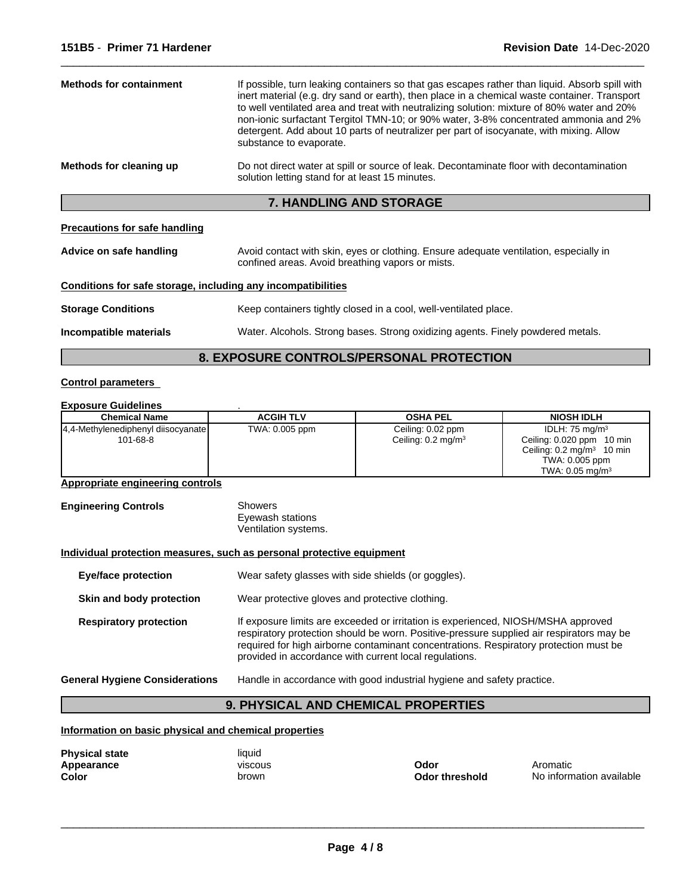| <b>Methods for containment</b> | If possible, turn leaking containers so that gas escapes rather than liquid. Absorb spill with<br>inert material (e.g. dry sand or earth), then place in a chemical waste container. Transport<br>to well ventilated area and treat with neutralizing solution: mixture of 80% water and 20%<br>non-ionic surfactant Tergitol TMN-10; or 90% water, 3-8% concentrated ammonia and 2%<br>detergent. Add about 10 parts of neutralizer per part of isocyanate, with mixing. Allow<br>substance to evaporate. |
|--------------------------------|------------------------------------------------------------------------------------------------------------------------------------------------------------------------------------------------------------------------------------------------------------------------------------------------------------------------------------------------------------------------------------------------------------------------------------------------------------------------------------------------------------|
| Methods for cleaning up        | Do not direct water at spill or source of leak. Decontaminate floor with decontamination<br>solution letting stand for at least 15 minutes.                                                                                                                                                                                                                                                                                                                                                                |
|                                |                                                                                                                                                                                                                                                                                                                                                                                                                                                                                                            |

# **7. HANDLING AND STORAGE**

# **Precautions for safe handling**

| Advice on safe handling | Avoid contact with skin, eyes or clothing. Ensure adequate ventilation, especially in |
|-------------------------|---------------------------------------------------------------------------------------|
|                         | confined areas. Avoid breathing vapors or mists.                                      |

# **Conditions for safe storage, including any incompatibilities**

| <b>Storage Conditions</b> | Keep containers tightly closed in a cool, well-ventilated place. |
|---------------------------|------------------------------------------------------------------|
|                           |                                                                  |

**Incompatible materials** Water. Alcohols. Strong bases. Strong oxidizing agents. Finely powdered metals.

 $\overline{\phantom{a}}$  ,  $\overline{\phantom{a}}$  ,  $\overline{\phantom{a}}$  ,  $\overline{\phantom{a}}$  ,  $\overline{\phantom{a}}$  ,  $\overline{\phantom{a}}$  ,  $\overline{\phantom{a}}$  ,  $\overline{\phantom{a}}$  ,  $\overline{\phantom{a}}$  ,  $\overline{\phantom{a}}$  ,  $\overline{\phantom{a}}$  ,  $\overline{\phantom{a}}$  ,  $\overline{\phantom{a}}$  ,  $\overline{\phantom{a}}$  ,  $\overline{\phantom{a}}$  ,  $\overline{\phantom{a}}$ 

# **8. EXPOSURE CONTROLS/PERSONAL PROTECTION**

# **Control parameters**

# **Exposure Guidelines** .

| <b>Chemical Name</b>                 | <b>ACGIH TLV</b> | <b>OSHA PEL</b>               | <b>NIOSH IDLH</b>                       |
|--------------------------------------|------------------|-------------------------------|-----------------------------------------|
| [4,4-Methylenediphenyl diisocyanate] | TWA: 0.005 ppm   | Ceiling: 0.02 ppm             | IDLH: $75 \text{ mg/m}^3$               |
| 101-68-8                             |                  | Ceiling: $0.2 \text{ mg/m}^3$ | Ceiling: 0.020 ppm 10 min               |
|                                      |                  |                               | Ceiling: $0.2 \text{ mg/m}^3$<br>10 min |
|                                      |                  |                               | TWA: 0.005 ppm                          |
|                                      |                  |                               | TWA: $0.05 \text{ mg/m}^3$              |

# **Appropriate engineering controls**

| <b>Engineering Controls</b> | Showers              |  |
|-----------------------------|----------------------|--|
|                             | Eyewash stations     |  |
|                             | Ventilation systems. |  |

# **Individual protection measures, such as personal protective equipment**

| <b>Eye/face protection</b>            | Wear safety glasses with side shields (or goggles).                                                                                                                                                                                                                                                                              |
|---------------------------------------|----------------------------------------------------------------------------------------------------------------------------------------------------------------------------------------------------------------------------------------------------------------------------------------------------------------------------------|
| Skin and body protection              | Wear protective gloves and protective clothing.                                                                                                                                                                                                                                                                                  |
| <b>Respiratory protection</b>         | If exposure limits are exceeded or irritation is experienced, NIOSH/MSHA approved<br>respiratory protection should be worn. Positive-pressure supplied air respirators may be<br>required for high airborne contaminant concentrations. Respiratory protection must be<br>provided in accordance with current local regulations. |
| <b>General Hygiene Considerations</b> | Handle in accordance with good industrial hygiene and safety practice.                                                                                                                                                                                                                                                           |

# **9. PHYSICAL AND CHEMICAL PROPERTIES**

**Information on basic physical and chemical properties**

| <b>Physical state</b> | liauid         |
|-----------------------|----------------|
| Appearance            | <b>VISCOUS</b> |
| Color                 | brown          |

| iiyuiu        |
|---------------|
| <b>VISCOU</b> |
| brown         |
|               |

 $\overline{\phantom{a}}$  ,  $\overline{\phantom{a}}$  ,  $\overline{\phantom{a}}$  ,  $\overline{\phantom{a}}$  ,  $\overline{\phantom{a}}$  ,  $\overline{\phantom{a}}$  ,  $\overline{\phantom{a}}$  ,  $\overline{\phantom{a}}$  ,  $\overline{\phantom{a}}$  ,  $\overline{\phantom{a}}$  ,  $\overline{\phantom{a}}$  ,  $\overline{\phantom{a}}$  ,  $\overline{\phantom{a}}$  ,  $\overline{\phantom{a}}$  ,  $\overline{\phantom{a}}$  ,  $\overline{\phantom{a}}$ 

**Odor threshold** No information available **Appearance** viscous **Odor** Aromatic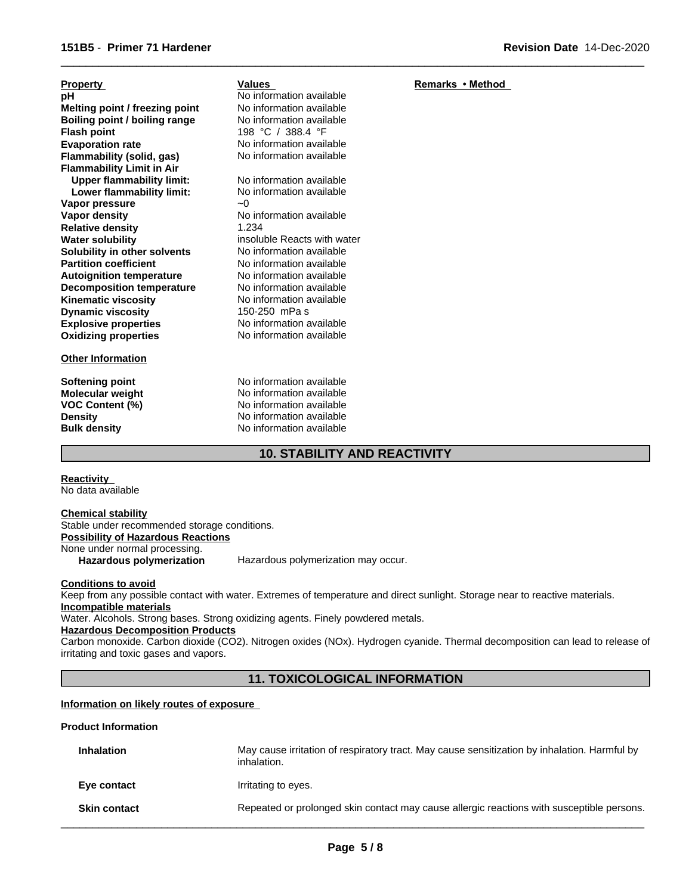| <b>Property</b>                  | Values                      | Remarks • Method |
|----------------------------------|-----------------------------|------------------|
| рH                               | No information available    |                  |
| Melting point / freezing point   | No information available    |                  |
| Boiling point / boiling range    | No information available    |                  |
| <b>Flash point</b>               | 198 °C / 388.4 °F           |                  |
| <b>Evaporation rate</b>          | No information available    |                  |
| Flammability (solid, gas)        | No information available    |                  |
| <b>Flammability Limit in Air</b> |                             |                  |
| <b>Upper flammability limit:</b> | No information available    |                  |
| Lower flammability limit:        | No information available    |                  |
| Vapor pressure                   | $-0$                        |                  |
| Vapor density                    | No information available    |                  |
| <b>Relative density</b>          | 1.234                       |                  |
| <b>Water solubility</b>          | insoluble Reacts with water |                  |
| Solubility in other solvents     | No information available    |                  |
| <b>Partition coefficient</b>     | No information available    |                  |
| <b>Autoignition temperature</b>  | No information available    |                  |
| <b>Decomposition temperature</b> | No information available    |                  |
| <b>Kinematic viscosity</b>       | No information available    |                  |
| <b>Dynamic viscosity</b>         | 150-250 mPa s               |                  |
| <b>Explosive properties</b>      | No information available    |                  |
| <b>Oxidizing properties</b>      | No information available    |                  |
| <b>Other Information</b>         |                             |                  |

**Softening point** No information available **Molecular weight** No information available **VOC Content (%)** No information available<br>
Density No information available **Density Density Density Bulk density Research American** No information available **No information available** 

# **10. STABILITY AND REACTIVITY**

 $\overline{\phantom{a}}$  ,  $\overline{\phantom{a}}$  ,  $\overline{\phantom{a}}$  ,  $\overline{\phantom{a}}$  ,  $\overline{\phantom{a}}$  ,  $\overline{\phantom{a}}$  ,  $\overline{\phantom{a}}$  ,  $\overline{\phantom{a}}$  ,  $\overline{\phantom{a}}$  ,  $\overline{\phantom{a}}$  ,  $\overline{\phantom{a}}$  ,  $\overline{\phantom{a}}$  ,  $\overline{\phantom{a}}$  ,  $\overline{\phantom{a}}$  ,  $\overline{\phantom{a}}$  ,  $\overline{\phantom{a}}$ 

**Reactivity**  No data available

#### **Chemical stability** Stable under recommended storage conditions.

**Possibility of Hazardous Reactions**

None under normal processing.

**Hazardous polymerization** Hazardous polymerization may occur.

## **Conditions to avoid**

Keep from any possible contact with water. Extremes of temperature and direct sunlight. Storage near to reactive materials. **Incompatible materials**

Water. Alcohols. Strong bases. Strong oxidizing agents. Finely powdered metals.

# **Hazardous Decomposition Products**

Carbon monoxide. Carbon dioxide (CO2). Nitrogen oxides (NOx). Hydrogen cyanide. Thermal decomposition can lead to release of irritating and toxic gases and vapors.

# **11. TOXICOLOGICAL INFORMATION**

# **Information on likely routes of exposure**

# **Product Information**

| <b>Inhalation</b>   | May cause irritation of respiratory tract. May cause sensitization by inhalation. Harmful by<br>inhalation. |
|---------------------|-------------------------------------------------------------------------------------------------------------|
| Eye contact         | Irritating to eyes.                                                                                         |
| <b>Skin contact</b> | Repeated or prolonged skin contact may cause allergic reactions with susceptible persons.                   |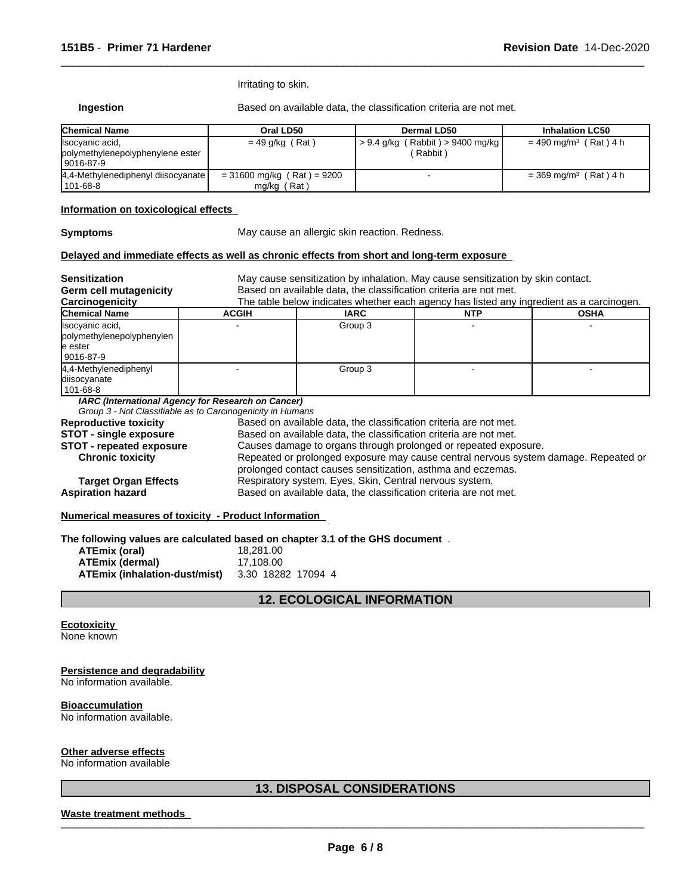Irritating to skin.

**Ingestion** Based on available data, the classification criteria are not met.

 $\overline{\phantom{a}}$  ,  $\overline{\phantom{a}}$  ,  $\overline{\phantom{a}}$  ,  $\overline{\phantom{a}}$  ,  $\overline{\phantom{a}}$  ,  $\overline{\phantom{a}}$  ,  $\overline{\phantom{a}}$  ,  $\overline{\phantom{a}}$  ,  $\overline{\phantom{a}}$  ,  $\overline{\phantom{a}}$  ,  $\overline{\phantom{a}}$  ,  $\overline{\phantom{a}}$  ,  $\overline{\phantom{a}}$  ,  $\overline{\phantom{a}}$  ,  $\overline{\phantom{a}}$  ,  $\overline{\phantom{a}}$ 

| <b>Chemical Name</b>                                                | Oral LD50                                     | Dermal LD50                                     | <b>Inhalation LC50</b>              |
|---------------------------------------------------------------------|-----------------------------------------------|-------------------------------------------------|-------------------------------------|
| Ilsocyanic acid,<br>polymethylenepolyphenylene ester<br>  9016-87-9 | $= 49$ g/kg (Rat)                             | $> 9.4$ g/kg (Rabbit) $> 9400$ mg/kg<br>Rabbit) | $= 490$ mg/m <sup>3</sup> (Rat) 4 h |
| 4,4-Methylenediphenyl diisocyanate<br>101-68-8                      | $= 31600$ mg/kg (Rat) = 9200<br>$mg/kg$ (Rat) |                                                 | $=$ 369 mg/m <sup>3</sup> (Rat) 4 h |

## **Information on toxicological effects**

**Symptoms** May cause an allergic skin reaction. Redness.

#### **Delayed and immediate effects as well as chronic effects from short and long-term exposure**

| <b>Sensitization</b><br>Germ cell mutagenicity                                                   | May cause sensitization by inhalation. May cause sensitization by skin contact.<br>Based on available data, the classification criteria are not met.<br>The table below indicates whether each agency has listed any ingredient as a carcinogen. |                                                                                                                                                                                                                                                                                            |            |             |  |
|--------------------------------------------------------------------------------------------------|--------------------------------------------------------------------------------------------------------------------------------------------------------------------------------------------------------------------------------------------------|--------------------------------------------------------------------------------------------------------------------------------------------------------------------------------------------------------------------------------------------------------------------------------------------|------------|-------------|--|
| Carcinogenicity                                                                                  |                                                                                                                                                                                                                                                  |                                                                                                                                                                                                                                                                                            |            |             |  |
| <b>Chemical Name</b><br>Ilsocyanic acid,<br>polymethylenepolyphenylen<br>le ester<br>l 9016-87-9 | <b>ACGIH</b>                                                                                                                                                                                                                                     | <b>IARC</b><br>Group 3                                                                                                                                                                                                                                                                     | <b>NTP</b> | <b>OSHA</b> |  |
| 4,4-Methylenediphenyl<br>diisocyanate<br>101-68-8                                                |                                                                                                                                                                                                                                                  | Group 3                                                                                                                                                                                                                                                                                    |            |             |  |
| <b>Reproductive toxicity</b>                                                                     | IARC (International Agency for Research on Cancer)<br>Group 3 - Not Classifiable as to Carcinogenicity in Humans                                                                                                                                 | Based on available data, the classification criteria are not met.                                                                                                                                                                                                                          |            |             |  |
| <b>STOT - single exposure</b><br><b>STOT - repeated exposure</b><br><b>Chronic toxicity</b>      |                                                                                                                                                                                                                                                  | Based on available data, the classification criteria are not met.<br>Causes damage to organs through prolonged or repeated exposure.<br>Repeated or prolonged exposure may cause central nervous system damage. Repeated or<br>prolonged contact causes sensitization, asthma and eczemas. |            |             |  |
| <b>Target Organ Effects</b><br><b>Aspiration hazard</b>                                          | Respiratory system, Eyes, Skin, Central nervous system.<br>Based on available data, the classification criteria are not met.                                                                                                                     |                                                                                                                                                                                                                                                                                            |            |             |  |

**Numerical measures of toxicity - Product Information** 

**The following values are calculated based on chapter 3.1 of the GHS document** .

| ATEmix (oral)                 | 18.281.00          |
|-------------------------------|--------------------|
| ATEmix (dermal)               | 17.108.00          |
| ATEmix (inhalation-dust/mist) | 3.30 18282 17094 4 |

# **12. ECOLOGICAL INFORMATION**

# **Ecotoxicity**

None known

# **Persistence and degradability**

No information available.

# **Bioaccumulation**

No information available.

# **Other adverse effects**

No information available

# **13. DISPOSAL CONSIDERATIONS**

# **Waste treatment methods** \_\_\_\_\_\_\_\_\_\_\_\_\_\_\_\_\_\_\_\_\_\_\_\_\_\_\_\_\_\_\_\_\_\_\_\_\_\_\_\_\_\_\_\_\_\_\_\_\_\_\_\_\_\_\_\_\_\_\_\_\_\_\_\_\_\_\_\_\_\_\_\_\_\_\_\_\_\_\_\_\_\_\_\_\_\_\_\_\_\_\_\_\_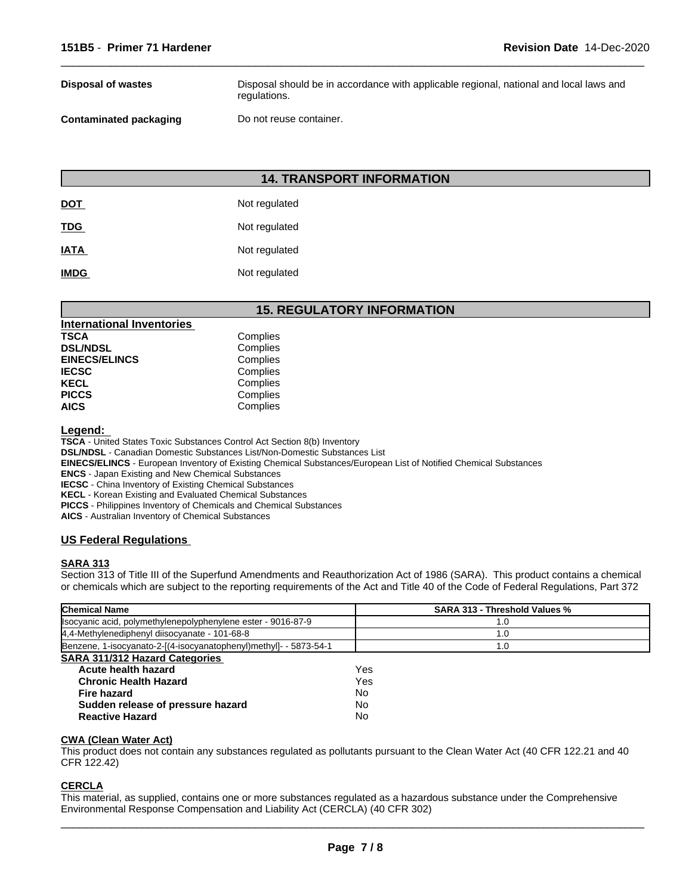| Disposal of wastes     | Disposal should be in accordance with applicable regional, national and local laws and<br>regulations. |
|------------------------|--------------------------------------------------------------------------------------------------------|
| Contaminated packaging | Do not reuse container.                                                                                |

 $\overline{\phantom{a}}$  ,  $\overline{\phantom{a}}$  ,  $\overline{\phantom{a}}$  ,  $\overline{\phantom{a}}$  ,  $\overline{\phantom{a}}$  ,  $\overline{\phantom{a}}$  ,  $\overline{\phantom{a}}$  ,  $\overline{\phantom{a}}$  ,  $\overline{\phantom{a}}$  ,  $\overline{\phantom{a}}$  ,  $\overline{\phantom{a}}$  ,  $\overline{\phantom{a}}$  ,  $\overline{\phantom{a}}$  ,  $\overline{\phantom{a}}$  ,  $\overline{\phantom{a}}$  ,  $\overline{\phantom{a}}$ 

# **14. TRANSPORT INFORMATION**

| <b>DOT</b>  | Not regulated |
|-------------|---------------|
| <b>TDG</b>  | Not regulated |
| <b>IATA</b> | Not regulated |
| <b>IMDG</b> | Not regulated |

# **15. REGULATORY INFORMATION**

| <b>International Inventories</b> |          |
|----------------------------------|----------|
| TSCA                             | Complies |
| <b>DSL/NDSL</b>                  | Complies |
| <b>EINECS/ELINCS</b>             | Complies |
| IECSC                            | Complies |
| KECL                             | Complies |
| PICCS                            | Complies |
| AICS                             | Complies |
|                                  |          |

**Legend:** 

**TSCA** - United States Toxic Substances Control Act Section 8(b) Inventory

**DSL/NDSL** - Canadian Domestic Substances List/Non-Domestic Substances List

**EINECS/ELINCS** - European Inventory of Existing Chemical Substances/European List of Notified Chemical Substances

**ENCS** - Japan Existing and New Chemical Substances

**IECSC** - China Inventory of Existing Chemical Substances

**KECL** - Korean Existing and Evaluated Chemical Substances

**PICCS** - Philippines Inventory of Chemicals and Chemical Substances

**AICS** - Australian Inventory of Chemical Substances

# **US Federal Regulations**

## **SARA 313**

Section 313 of Title III of the Superfund Amendments and Reauthorization Act of 1986 (SARA). This product contains a chemical or chemicals which are subject to the reporting requirements of the Act and Title 40 of the Code of Federal Regulations, Part 372

| <b>Chemical Name</b>                                              | <b>SARA 313 - Threshold Values %</b> |  |
|-------------------------------------------------------------------|--------------------------------------|--|
| Isocyanic acid, polymethylenepolyphenylene ester - 9016-87-9      | 1.0                                  |  |
| 4,4-Methylenediphenyl diisocyanate - 101-68-8                     | 1.0                                  |  |
| Benzene, 1-isocyanato-2-[(4-isocyanatophenyl)methyl]- - 5873-54-1 | 1.0                                  |  |
| <b>SARA 311/312 Hazard Categories</b>                             |                                      |  |
| Acute health hazard                                               | Yes                                  |  |
| <b>Chronic Health Hazard</b>                                      | Yes                                  |  |
| Fire hazard                                                       | No                                   |  |
| Sudden release of pressure hazard                                 | No                                   |  |
| <b>Reactive Hazard</b>                                            | No                                   |  |

# **CWA (Clean Water Act)**

This product does not contain any substances regulated as pollutants pursuant to the Clean Water Act (40 CFR 122.21 and 40 CFR 122.42)

## **CERCLA**

This material, as supplied, contains one or more substances regulated as a hazardous substance under the Comprehensive Environmental Response Compensation and Liability Act (CERCLA) (40 CFR 302)